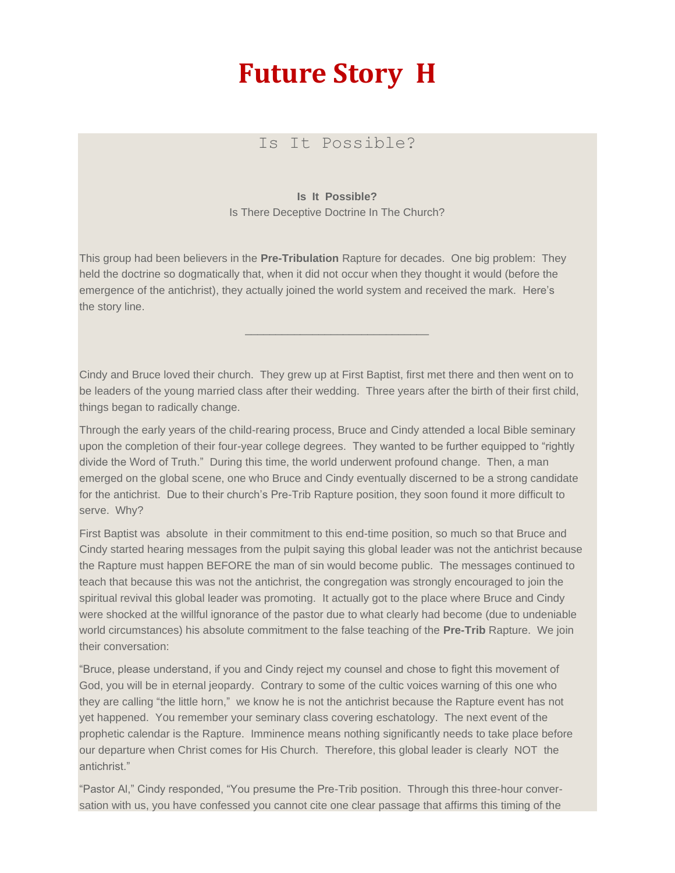## **Future Story H**

## Is It Possible?

## **Is It Possible?**

Is There Deceptive Doctrine In The Church?

This group had been believers in the **Pre-Tribulation** Rapture for decades. One big problem: They held the doctrine so dogmatically that, when it did not occur when they thought it would (before the emergence of the antichrist), they actually joined the world system and received the mark. Here's the story line.

Cindy and Bruce loved their church. They grew up at First Baptist, first met there and then went on to be leaders of the young married class after their wedding. Three years after the birth of their first child, things began to radically change.

\_\_\_\_\_\_\_\_\_\_\_\_\_\_\_\_\_\_\_\_\_\_\_\_\_\_\_\_\_\_

Through the early years of the child-rearing process, Bruce and Cindy attended a local Bible seminary upon the completion of their four-year college degrees. They wanted to be further equipped to "rightly divide the Word of Truth." During this time, the world underwent profound change. Then, a man emerged on the global scene, one who Bruce and Cindy eventually discerned to be a strong candidate for the antichrist. Due to their church's Pre-Trib Rapture position, they soon found it more difficult to serve. Why?

First Baptist was absolute in their commitment to this end-time position, so much so that Bruce and Cindy started hearing messages from the pulpit saying this global leader was not the antichrist because the Rapture must happen BEFORE the man of sin would become public. The messages continued to teach that because this was not the antichrist, the congregation was strongly encouraged to join the spiritual revival this global leader was promoting. It actually got to the place where Bruce and Cindy were shocked at the willful ignorance of the pastor due to what clearly had become (due to undeniable world circumstances) his absolute commitment to the false teaching of the **Pre-Trib** Rapture. We join their conversation:

"Bruce, please understand, if you and Cindy reject my counsel and chose to fight this movement of God, you will be in eternal jeopardy. Contrary to some of the cultic voices warning of this one who they are calling "the little horn," we know he is not the antichrist because the Rapture event has not yet happened. You remember your seminary class covering eschatology. The next event of the prophetic calendar is the Rapture. Imminence means nothing significantly needs to take place before our departure when Christ comes for His Church. Therefore, this global leader is clearly NOT the antichrist."

"Pastor Al," Cindy responded, "You presume the Pre-Trib position. Through this three-hour conversation with us, you have confessed you cannot cite one clear passage that affirms this timing of the